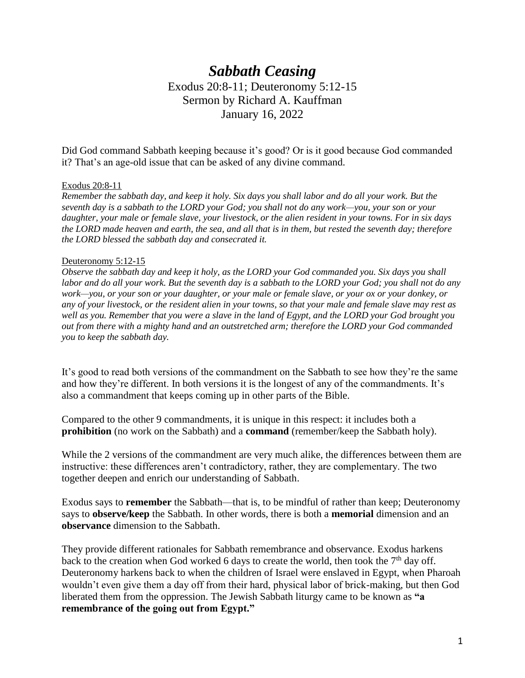# *Sabbath Ceasing* Exodus 20:8-11; Deuteronomy 5:12-15 Sermon by Richard A. Kauffman January 16, 2022

Did God command Sabbath keeping because it's good? Or is it good because God commanded it? That's an age-old issue that can be asked of any divine command.

#### Exodus 20:8-11

*Remember the sabbath day, and keep it holy. Six days you shall labor and do all your work. But the seventh day is a sabbath to the LORD your God; you shall not do any work—you, your son or your daughter, your male or female slave, your livestock, or the alien resident in your towns. For in six days the LORD made heaven and earth, the sea, and all that is in them, but rested the seventh day; therefore the LORD blessed the sabbath day and consecrated it.*

#### Deuteronomy 5:12-15

*Observe the sabbath day and keep it holy, as the LORD your God commanded you. Six days you shall labor and do all your work. But the seventh day is a sabbath to the LORD your God; you shall not do any work—you, or your son or your daughter, or your male or female slave, or your ox or your donkey, or any of your livestock, or the resident alien in your towns, so that your male and female slave may rest as well as you. Remember that you were a slave in the land of Egypt, and the LORD your God brought you out from there with a mighty hand and an outstretched arm; therefore the LORD your God commanded you to keep the sabbath day.*

It's good to read both versions of the commandment on the Sabbath to see how they're the same and how they're different. In both versions it is the longest of any of the commandments. It's also a commandment that keeps coming up in other parts of the Bible.

Compared to the other 9 commandments, it is unique in this respect: it includes both a **prohibition** (no work on the Sabbath) and a **command** (remember/keep the Sabbath holy).

While the 2 versions of the commandment are very much alike, the differences between them are instructive: these differences aren't contradictory, rather, they are complementary. The two together deepen and enrich our understanding of Sabbath.

Exodus says to **remember** the Sabbath—that is, to be mindful of rather than keep; Deuteronomy says to **observe/keep** the Sabbath. In other words, there is both a **memorial** dimension and an **observance** dimension to the Sabbath.

They provide different rationales for Sabbath remembrance and observance. Exodus harkens back to the creation when God worked 6 days to create the world, then took the  $7<sup>th</sup>$  day off. Deuteronomy harkens back to when the children of Israel were enslaved in Egypt, when Pharoah wouldn't even give them a day off from their hard, physical labor of brick-making, but then God liberated them from the oppression. The Jewish Sabbath liturgy came to be known as **"a remembrance of the going out from Egypt."**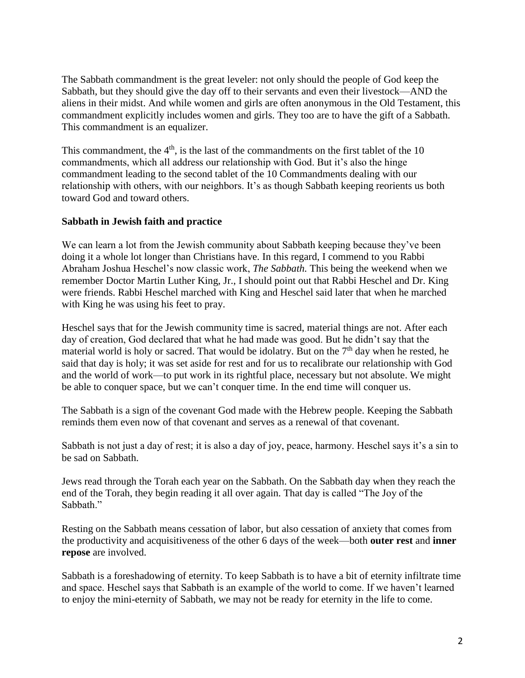The Sabbath commandment is the great leveler: not only should the people of God keep the Sabbath, but they should give the day off to their servants and even their livestock—AND the aliens in their midst. And while women and girls are often anonymous in the Old Testament, this commandment explicitly includes women and girls. They too are to have the gift of a Sabbath. This commandment is an equalizer.

This commandment, the  $4<sup>th</sup>$ , is the last of the commandments on the first tablet of the 10 commandments, which all address our relationship with God. But it's also the hinge commandment leading to the second tablet of the 10 Commandments dealing with our relationship with others, with our neighbors. It's as though Sabbath keeping reorients us both toward God and toward others.

## **Sabbath in Jewish faith and practice**

We can learn a lot from the Jewish community about Sabbath keeping because they've been doing it a whole lot longer than Christians have. In this regard, I commend to you Rabbi Abraham Joshua Heschel's now classic work, *The Sabbath.* This being the weekend when we remember Doctor Martin Luther King, Jr., I should point out that Rabbi Heschel and Dr. King were friends. Rabbi Heschel marched with King and Heschel said later that when he marched with King he was using his feet to pray.

Heschel says that for the Jewish community time is sacred, material things are not. After each day of creation, God declared that what he had made was good. But he didn't say that the material world is holy or sacred. That would be idolatry. But on the  $7<sup>th</sup>$  day when he rested, he said that day is holy; it was set aside for rest and for us to recalibrate our relationship with God and the world of work—to put work in its rightful place, necessary but not absolute. We might be able to conquer space, but we can't conquer time. In the end time will conquer us.

The Sabbath is a sign of the covenant God made with the Hebrew people. Keeping the Sabbath reminds them even now of that covenant and serves as a renewal of that covenant.

Sabbath is not just a day of rest; it is also a day of joy, peace, harmony. Heschel says it's a sin to be sad on Sabbath.

Jews read through the Torah each year on the Sabbath. On the Sabbath day when they reach the end of the Torah, they begin reading it all over again. That day is called "The Joy of the Sabbath."

Resting on the Sabbath means cessation of labor, but also cessation of anxiety that comes from the productivity and acquisitiveness of the other 6 days of the week—both **outer rest** and **inner repose** are involved.

Sabbath is a foreshadowing of eternity. To keep Sabbath is to have a bit of eternity infiltrate time and space. Heschel says that Sabbath is an example of the world to come. If we haven't learned to enjoy the mini-eternity of Sabbath, we may not be ready for eternity in the life to come.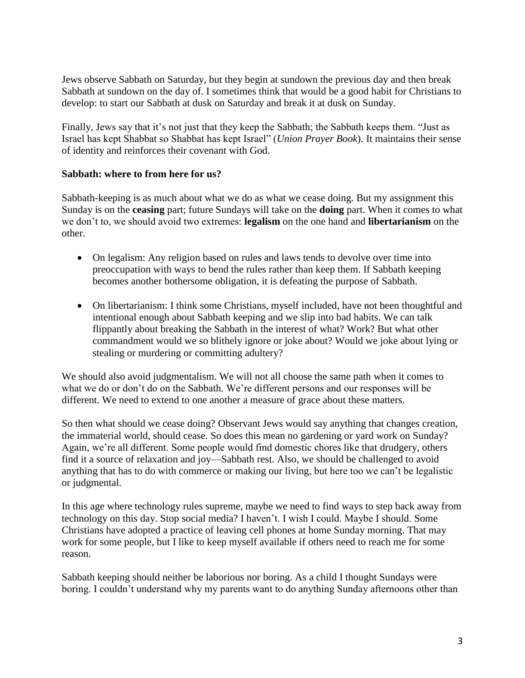Jews observe Sabbath on Saturday, but they begin at sundown the previous day and then break Sabbath at sundown on the day of. I sometimes think that would be a good habit for Christians to develop: to start our Sabbath at dusk on Saturday and break it at dusk on Sunday.

Finally, Jews say that it's not just that they keep the Sabbath; the Sabbath keeps them. "Just as Israel has kept Shabbat so Shabbat has kept Israel" (*Union Prayer Book*). It maintains their sense of identity and reinforces their covenant with God.

## **Sabbath: where to from here for us?**

Sabbath-keeping is as much about what we do as what we cease doing. But my assignment this Sunday is on the **ceasing** part; future Sundays will take on the **doing** part. When it comes to what we don't to, we should avoid two extremes: **legalism** on the one hand and **libertarianism** on the other.

- On legalism: Any religion based on rules and laws tends to devolve over time into preoccupation with ways to bend the rules rather than keep them. If Sabbath keeping becomes another bothersome obligation, it is defeating the purpose of Sabbath.
- On libertarianism: I think some Christians, myself included, have not been thoughtful and intentional enough about Sabbath keeping and we slip into bad habits. We can talk flippantly about breaking the Sabbath in the interest of what? Work? But what other commandment would we so blithely ignore or joke about? Would we joke about lying or stealing or murdering or committing adultery?

We should also avoid judgmentalism. We will not all choose the same path when it comes to what we do or don't do on the Sabbath. We're different persons and our responses will be different. We need to extend to one another a measure of grace about these matters.

So then what should we cease doing? Observant Jews would say anything that changes creation, the immaterial world, should cease. So does this mean no gardening or yard work on Sunday? Again, we're all different. Some people would find domestic chores like that drudgery, others find it a source of relaxation and joy—Sabbath rest. Also, we should be challenged to avoid anything that has to do with commerce or making our living, but here too we can't be legalistic or judgmental.

In this age where technology rules supreme, maybe we need to find ways to step back away from technology on this day. Stop social media? I haven't. I wish I could. Maybe I should. Some Christians have adopted a practice of leaving cell phones at home Sunday morning. That may work for some people, but I like to keep myself available if others need to reach me for some reason.

Sabbath keeping should neither be laborious nor boring. As a child I thought Sundays were boring. I couldn't understand why my parents want to do anything Sunday afternoons other than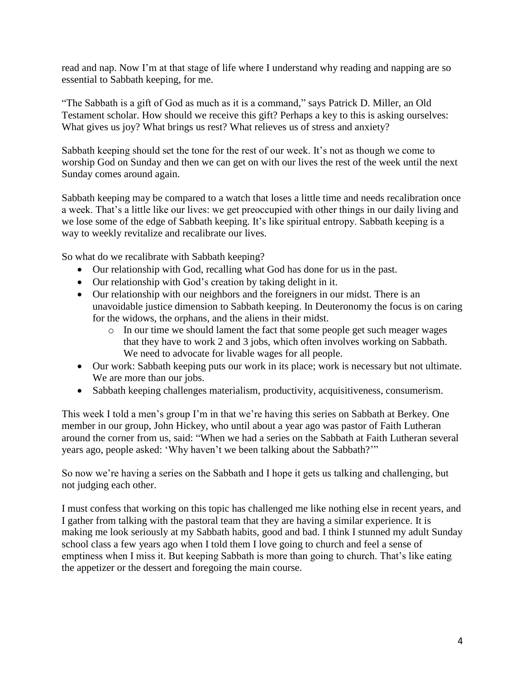read and nap. Now I'm at that stage of life where I understand why reading and napping are so essential to Sabbath keeping, for me.

"The Sabbath is a gift of God as much as it is a command," says Patrick D. Miller, an Old Testament scholar. How should we receive this gift? Perhaps a key to this is asking ourselves: What gives us joy? What brings us rest? What relieves us of stress and anxiety?

Sabbath keeping should set the tone for the rest of our week. It's not as though we come to worship God on Sunday and then we can get on with our lives the rest of the week until the next Sunday comes around again.

Sabbath keeping may be compared to a watch that loses a little time and needs recalibration once a week. That's a little like our lives: we get preoccupied with other things in our daily living and we lose some of the edge of Sabbath keeping. It's like spiritual entropy. Sabbath keeping is a way to weekly revitalize and recalibrate our lives.

So what do we recalibrate with Sabbath keeping?

- Our relationship with God, recalling what God has done for us in the past.
- Our relationship with God's creation by taking delight in it.
- Our relationship with our neighbors and the foreigners in our midst. There is an unavoidable justice dimension to Sabbath keeping. In Deuteronomy the focus is on caring for the widows, the orphans, and the aliens in their midst.
	- o In our time we should lament the fact that some people get such meager wages that they have to work 2 and 3 jobs, which often involves working on Sabbath. We need to advocate for livable wages for all people.
- Our work: Sabbath keeping puts our work in its place; work is necessary but not ultimate. We are more than our jobs.
- Sabbath keeping challenges materialism, productivity, acquisitiveness, consumerism.

This week I told a men's group I'm in that we're having this series on Sabbath at Berkey. One member in our group, John Hickey, who until about a year ago was pastor of Faith Lutheran around the corner from us, said: "When we had a series on the Sabbath at Faith Lutheran several years ago, people asked: 'Why haven't we been talking about the Sabbath?'"

So now we're having a series on the Sabbath and I hope it gets us talking and challenging, but not judging each other.

I must confess that working on this topic has challenged me like nothing else in recent years, and I gather from talking with the pastoral team that they are having a similar experience. It is making me look seriously at my Sabbath habits, good and bad. I think I stunned my adult Sunday school class a few years ago when I told them I love going to church and feel a sense of emptiness when I miss it. But keeping Sabbath is more than going to church. That's like eating the appetizer or the dessert and foregoing the main course.